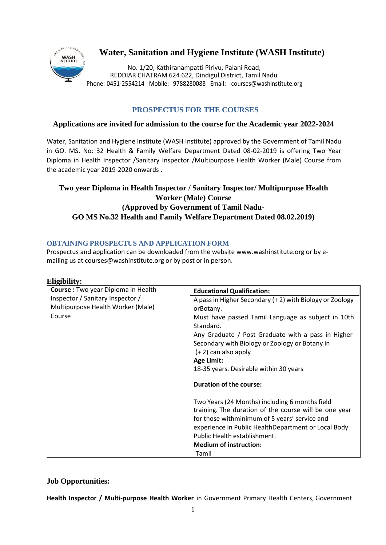

# **Water, Sanitation and Hygiene Institute (WASH Institute)**

No. 1/20, Kathiranampatti Pirivu, Palani Road, REDDIAR CHATRAM 624 622, Dindigul District, Tamil Nadu Phone: 0451-2554214 Mobile: 9788280088 Email: [courses@washinstitute.org](mailto:courses@washinstitute.org)

## **PROSPECTUS FOR THE COURSES**

#### **Applications are invited for admission to the course for the Academic year 2022-2024**

Water, Sanitation and Hygiene Institute (WASH Institute) approved by the Government of Tamil Nadu in GO. MS. No: 32 Health & Family Welfare Department Dated 08-02-2019 is offering Two Year Diploma in Health Inspector /Sanitary Inspector /Multipurpose Health Worker (Male) Course from the academic year 2019-2020 onwards .

## **Two year Diploma in Health Inspector / Sanitary Inspector/ Multipurpose Health Worker (Male) Course (Approved by Government of Tamil Nadu-GO MS No.32 Health and Family Welfare Department Dated 08.02.2019)**

#### **OBTAINING PROSPECTUS AND APPLICATION FORM**

Prospectus and application can be downloaded from the websit[e www.washinstitute.org o](http://www.washinstitute.org/)r by emailing us at [courses@washinstitute.org](mailto:courses@washinstitute.org) or by post or in person.

| Eligibility:                                                                                                           |                                                                                                                                                                                                                                                                                                                                          |
|------------------------------------------------------------------------------------------------------------------------|------------------------------------------------------------------------------------------------------------------------------------------------------------------------------------------------------------------------------------------------------------------------------------------------------------------------------------------|
| Course : Two year Diploma in Health<br>Inspector / Sanitary Inspector /<br>Multipurpose Health Worker (Male)<br>Course | <b>Educational Qualification:</b>                                                                                                                                                                                                                                                                                                        |
|                                                                                                                        | A pass in Higher Secondary (+2) with Biology or Zoology<br>orBotany.<br>Must have passed Tamil Language as subject in 10th<br>Standard.<br>Any Graduate / Post Graduate with a pass in Higher<br>Secondary with Biology or Zoology or Botany in<br>$(+ 2)$ can also apply<br><b>Age Limit:</b><br>18-35 years. Desirable within 30 years |
|                                                                                                                        | <b>Duration of the course:</b>                                                                                                                                                                                                                                                                                                           |
|                                                                                                                        | Two Years (24 Months) including 6 months field<br>training. The duration of the course will be one year<br>for those with minimum of 5 years' service and<br>experience in Public HealthDepartment or Local Body<br>Public Health establishment.<br><b>Medium of instruction:</b><br>Tamil                                               |

## **Job Opportunities:**

**Health Inspector / Multi-purpose Health Worker** in Government Primary Health Centers, Government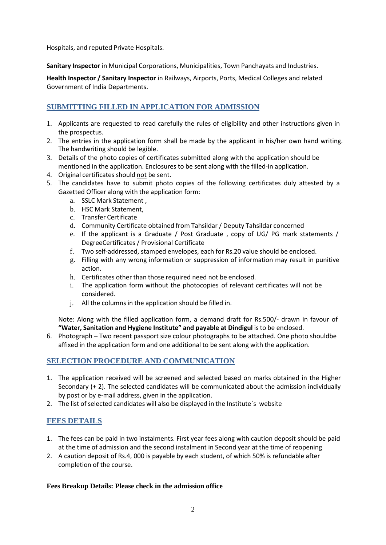Hospitals, and reputed Private Hospitals.

**Sanitary Inspector** in Municipal Corporations, Municipalities, Town Panchayats and Industries.

**Health Inspector / Sanitary Inspector** in Railways, Airports, Ports, Medical Colleges and related Government of India Departments.

## **SUBMITTING FILLED IN APPLICATION FOR ADMISSION**

- 1. Applicants are requested to read carefully the rules of eligibility and other instructions given in the prospectus.
- 2. The entries in the application form shall be made by the applicant in his/her own hand writing. The handwriting should be legible.
- 3. Details of the photo copies of certificates submitted along with the application should be mentioned in the application. Enclosures to be sent along with the filled-in application.
- 4. Original certificates should not be sent.
- 5. The candidates have to submit photo copies of the following certificates duly attested by a Gazetted Officer along with the application form:
	- a. SSLC Mark Statement ,
	- b. HSC Mark Statement,
	- c. Transfer Certificate
	- d. Community Certificate obtained from Tahsildar / Deputy Tahsildar concerned
	- e. If the applicant is a Graduate / Post Graduate , copy of UG/ PG mark statements / DegreeCertificates / Provisional Certificate
	- f. Two self-addressed, stamped envelopes, each for Rs.20 value should be enclosed.
	- g. Filling with any wrong information or suppression of information may result in punitive action.
	- h. Certificates other than those required need not be enclosed.
	- i. The application form without the photocopies of relevant certificates will not be considered.
	- j. All the columns in the application should be filled in.

Note: Along with the filled application form, a demand draft for Rs.500/- drawn in favour of **"Water, Sanitation and Hygiene Institute" and payable at Dindigul** is to be enclosed.

6. Photograph – Two recent passport size colour photographs to be attached. One photo shouldbe affixed in the application form and one additional to be sent along with the application.

### **SELECTION PROCEDURE AND COMMUNICATION**

- 1. The application received will be screened and selected based on marks obtained in the Higher Secondary (+ 2). The selected candidates will be communicated about the admission individually by post or by e-mail address, given in the application.
- 2. The list of selected candidates will also be displayed in the Institute's website

### **FEES DETAILS**

- 1. The fees can be paid in two instalments. First year fees along with caution deposit should be paid at the time of admission and the second instalment in Second year at the time of reopening
- 2. A caution deposit of Rs.4, 000 is payable by each student, of which 50% is refundable after completion of the course.

#### **Fees Breakup Details: Please check in the admission office**